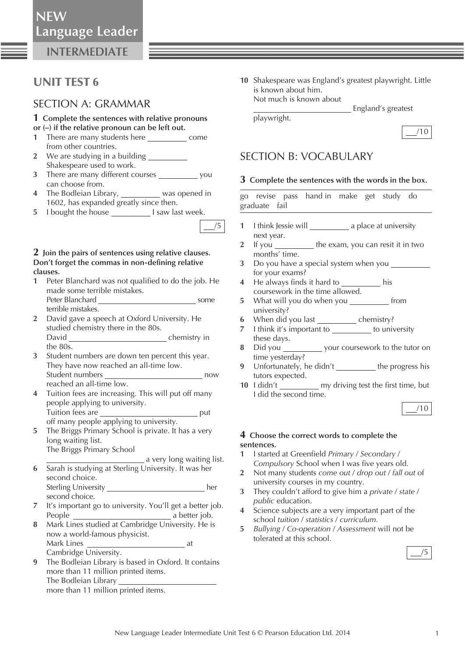**NEW**

**INTERMEDIATE**

## UNIT TEST 6

### SECTION A: GRAMMAR

#### **1 Complete the sentences with relative pronouns or (–) if the relative pronoun can be left out.**

- **1** There are many students here come from other countries.
- **2** We are studying in a building Shakespeare used to work.
- **3** There are many different courses you can choose from.
- **4** The Bodleian Library, was opened in 1602, has expanded greatly since then.
- **5** I bought the house **I saw last week.**

### **2 Join the pairs of sentences using relative clauses.**  Don't forget the commas in non-defining relative **clauses.**

- **1** Peter Blanchard was not qualified to do the job. He made some terrible mistakes. Peter Blanchard some
- terrible mistakes.  **2** David gave a speech at Oxford University. He
- studied chemistry there in the 80s. David chemistry in the 80s.
- **3** Student numbers are down ten percent this year. They have now reached an all-time low. Student numbers now reached an all-time low.
- **4** Tuition fees are increasing. This will put off many people applying to university. Tuition fees are **put and the set of the set of the set of the set of the set of the set of the set of the set of the set of the set of the set of the set of the set of the set of the set of the set of the set of the set o** off many people applying to university.
- **5** The Briggs Primary School is private. It has a very long waiting list. The Briggs Primary School
	- a very long waiting list.
- **6** Sarah is studying at Sterling University. It was her second choice. Sterling University her second choice.
- **7** It's important go to university. You'll get a better job. People a better job.
- **8** Mark Lines studied at Cambridge University. He is now a world-famous physicist. Mark Lines at Cambridge University.
- **9** The Bodleian Library is based in Oxford. It contains more than 11 million printed items. The Bodleian Library more than 11 million printed items.

 **10** Shakespeare was England's greatest playwright. Little is known about him. Not much is known about

England's greatest

/10

## SECTION B: VOCABULARY

playwright.

### **3 Complete the sentences with the words in the box.**

 go revise pass hand in make get study do graduate fail

- **1** I think Jessie will a place at university next year.
- **2** If you the exam, you can resit it in two months' time.
- **3** Do you have a special system when you for your exams?
- **4** He always finds it hard to his coursework in the time allowed.
- **5** What will you do when you from university?
- **6** When did you last \_\_\_\_\_\_\_\_\_\_\_\_ chemistry?
- **7** I think it's important to to university these days.
- **8** Did you \_\_\_\_\_\_\_\_\_\_\_ your coursework to the tutor on time yesterday?
- **9** Unfortunately, he didn't the progress his tutors expected.
- **10** I didn't \_\_\_\_\_\_\_\_\_\_\_ my driving test the first time, but I did the second time.

#### **4 Choose the correct words to complete the sentences.**

- 1 I started at Greenfield *Primary* / Secondary / *Compulsory* School when I was five years old.
- **2** Not many students *come out* / *drop out* / *fall out* of university courses in my country.
- **3** They couldn't afford to give him a *private* / *state* / *public* education.
- **4** Science subjects are a very important part of the school *tuition* / *statistics* / *curriculum.*
- **5** *Bullying* / *Co-operation* / *Assessment* will not be tolerated at this school.



/5